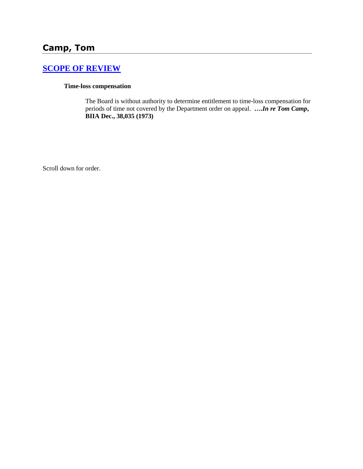# **[SCOPE OF REVIEW](http://www.biia.wa.gov/SDSubjectIndex.html#SCOPE_OF_REVIEW)**

#### **Time-loss compensation**

The Board is without authority to determine entitlement to time-loss compensation for periods of time not covered by the Department order on appeal. **….***In re Tom Camp***, BIIA Dec., 38,035 (1973)** 

Scroll down for order.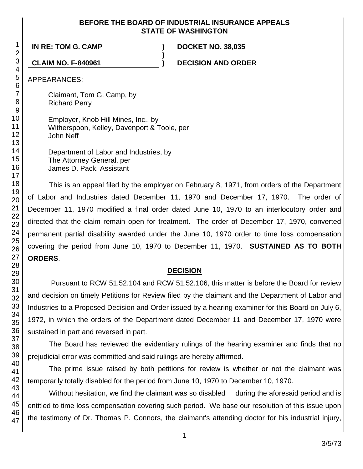### **BEFORE THE BOARD OF INDUSTRIAL INSURANCE APPEALS STATE OF WASHINGTON**

**)**

**IN RE: TOM G. CAMP ) DOCKET NO. 38,035**

**CLAIM NO. F-840961 ) DECISION AND ORDER**

APPEARANCES:

Claimant, Tom G. Camp, by Richard Perry

Employer, Knob Hill Mines, Inc., by Witherspoon, Kelley, Davenport & Toole, per John Neff

Department of Labor and Industries, by The Attorney General, per James D. Pack, Assistant

This is an appeal filed by the employer on February 8, 1971, from orders of the Department of Labor and Industries dated December 11, 1970 and December 17, 1970. The order of December 11, 1970 modified a final order dated June 10, 1970 to an interlocutory order and directed that the claim remain open for treatment. The order of December 17, 1970, converted permanent partial disability awarded under the June 10, 1970 order to time loss compensation covering the period from June 10, 1970 to December 11, 1970. **SUSTAINED AS TO BOTH ORDERS**.

# **DECISION**

Pursuant to RCW 51.52.104 and RCW 51.52.106, this matter is before the Board for review and decision on timely Petitions for Review filed by the claimant and the Department of Labor and Industries to a Proposed Decision and Order issued by a hearing examiner for this Board on July 6, 1972, in which the orders of the Department dated December 11 and December 17, 1970 were sustained in part and reversed in part.

The Board has reviewed the evidentiary rulings of the hearing examiner and finds that no prejudicial error was committed and said rulings are hereby affirmed.

The prime issue raised by both petitions for review is whether or not the claimant was temporarily totally disabled for the period from June 10, 1970 to December 10, 1970.

Without hesitation, we find the claimant was so disabled during the aforesaid period and is entitled to time loss compensation covering such period. We base our resolution of this issue upon the testimony of Dr. Thomas P. Connors, the claimant's attending doctor for his industrial injury,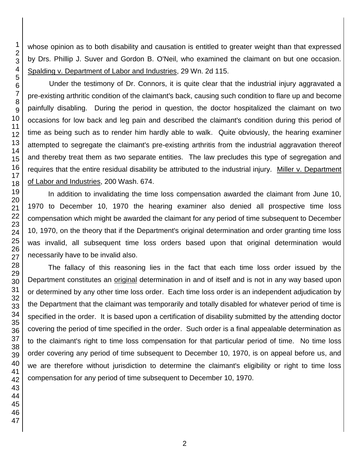whose opinion as to both disability and causation is entitled to greater weight than that expressed by Drs. Phillip J. Suver and Gordon B. O'Neil, who examined the claimant on but one occasion. Spalding v. Department of Labor and Industries, 29 Wn. 2d 115.

Under the testimony of Dr. Connors, it is quite clear that the industrial injury aggravated a pre-existing arthritic condition of the claimant's back, causing such condition to flare up and become painfully disabling. During the period in question, the doctor hospitalized the claimant on two occasions for low back and leg pain and described the claimant's condition during this period of time as being such as to render him hardly able to walk. Quite obviously, the hearing examiner attempted to segregate the claimant's pre-existing arthritis from the industrial aggravation thereof and thereby treat them as two separate entities. The law precludes this type of segregation and requires that the entire residual disability be attributed to the industrial injury. Miller v. Department of Labor and Industries, 200 Wash. 674.

In addition to invalidating the time loss compensation awarded the claimant from June 10, 1970 to December 10, 1970 the hearing examiner also denied all prospective time loss compensation which might be awarded the claimant for any period of time subsequent to December 10, 1970, on the theory that if the Department's original determination and order granting time loss was invalid, all subsequent time loss orders based upon that original determination would necessarily have to be invalid also.

The fallacy of this reasoning lies in the fact that each time loss order issued by the Department constitutes an original determination in and of itself and is not in any way based upon or determined by any other time loss order. Each time loss order is an independent adjudication by the Department that the claimant was temporarily and totally disabled for whatever period of time is specified in the order. It is based upon a certification of disability submitted by the attending doctor covering the period of time specified in the order. Such order is a final appealable determination as to the claimant's right to time loss compensation for that particular period of time. No time loss order covering any period of time subsequent to December 10, 1970, is on appeal before us, and we are therefore without jurisdiction to determine the claimant's eligibility or right to time loss compensation for any period of time subsequent to December 10, 1970.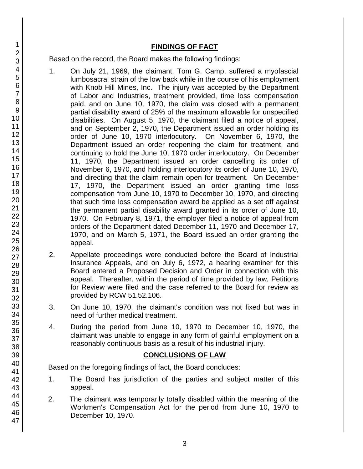## **FINDINGS OF FACT**

Based on the record, the Board makes the following findings:

- 1. On July 21, 1969, the claimant, Tom G. Camp, suffered a myofascial lumbosacral strain of the low back while in the course of his employment with Knob Hill Mines, Inc. The injury was accepted by the Department of Labor and Industries, treatment provided, time loss compensation paid, and on June 10, 1970, the claim was closed with a permanent partial disability award of 25% of the maximum allowable for unspecified disabilities. On August 5, 1970, the claimant filed a notice of appeal, and on September 2, 1970, the Department issued an order holding its order of June 10, 1970 interlocutory. On November 6, 1970, the Department issued an order reopening the claim for treatment, and continuing to hold the June 10, 1970 order interlocutory. On December 11, 1970, the Department issued an order cancelling its order of November 6, 1970, and holding interlocutory its order of June 10, 1970, and directing that the claim remain open for treatment. On December 17, 1970, the Department issued an order granting time loss compensation from June 10, 1970 to December 10, 1970, and directing that such time loss compensation award be applied as a set off against the permanent partial disability award granted in its order of June 10, 1970. On February 8, 1971, the employer filed a notice of appeal from orders of the Department dated December 11, 1970 and December 17, 1970, and on March 5, 1971, the Board issued an order granting the appeal.
- 2. Appellate proceedings were conducted before the Board of Industrial Insurance Appeals, and on July 6, 1972, a hearing examiner for this Board entered a Proposed Decision and Order in connection with this appeal. Thereafter, within the period of time provided by law, Petitions for Review were filed and the case referred to the Board for review as provided by RCW 51.52.106.
- 3. On June 10, 1970, the claimant's condition was not fixed but was in need of further medical treatment.
- 4. During the period from June 10, 1970 to December 10, 1970, the claimant was unable to engage in any form of gainful employment on a reasonably continuous basis as a result of his industrial injury.

# **CONCLUSIONS OF LAW**

Based on the foregoing findings of fact, the Board concludes:

- 1. The Board has jurisdiction of the parties and subject matter of this appeal.
- 2. The claimant was temporarily totally disabled within the meaning of the Workmen's Compensation Act for the period from June 10, 1970 to December 10, 1970.